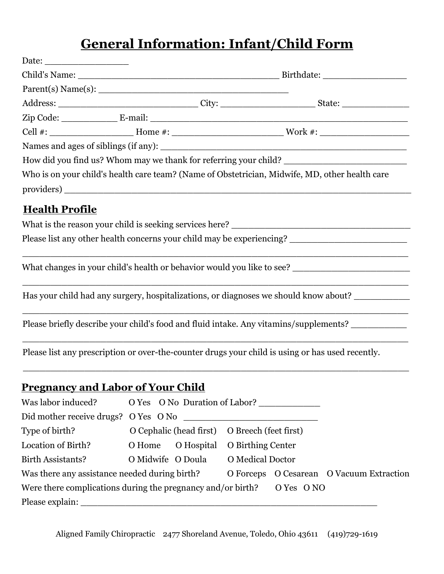## **General Information: Infant/Child Form**

|                       |  |  | How did you find us? Whom may we thank for referring your child? ___________________________________ |  |  |  |
|-----------------------|--|--|------------------------------------------------------------------------------------------------------|--|--|--|
|                       |  |  | Who is on your child's health care team? (Name of Obstetrician, Midwife, MD, other health care       |  |  |  |
| <b>Health Profile</b> |  |  |                                                                                                      |  |  |  |
|                       |  |  |                                                                                                      |  |  |  |
|                       |  |  | Please list any other health concerns your child may be experiencing? ______________________________ |  |  |  |
|                       |  |  | What changes in your child's health or behavior would you like to see?                               |  |  |  |
|                       |  |  | Has your child had any surgery, hospitalizations, or diagnoses we should know about?                 |  |  |  |
|                       |  |  | Please briefly describe your child's food and fluid intake. Any vitamins/supplements?                |  |  |  |
|                       |  |  | Please list any prescription or over-the-counter drugs your child is using or has used recently.     |  |  |  |
|                       |  |  |                                                                                                      |  |  |  |

## **Pregnancy and Labor of Your Child**

| Was labor induced? O Yes O No Duration of Labor?                           |  |                                               |                                    |  |                                          |
|----------------------------------------------------------------------------|--|-----------------------------------------------|------------------------------------|--|------------------------------------------|
|                                                                            |  |                                               |                                    |  |                                          |
| Type of birth?                                                             |  | O Cephalic (head first) O Breech (feet first) |                                    |  |                                          |
| Location of Birth?                                                         |  | O Home O Hospital O Birthing Center           |                                    |  |                                          |
| Birth Assistants?                                                          |  |                                               | O Midwife O Doula O Medical Doctor |  |                                          |
| Was there any assistance needed during birth?                              |  |                                               |                                    |  | O Forceps O Cesarean O Vacuum Extraction |
| Were there complications during the pregnancy and/or birth? $O$ Yes $O$ NO |  |                                               |                                    |  |                                          |
| Please explain:                                                            |  |                                               |                                    |  |                                          |